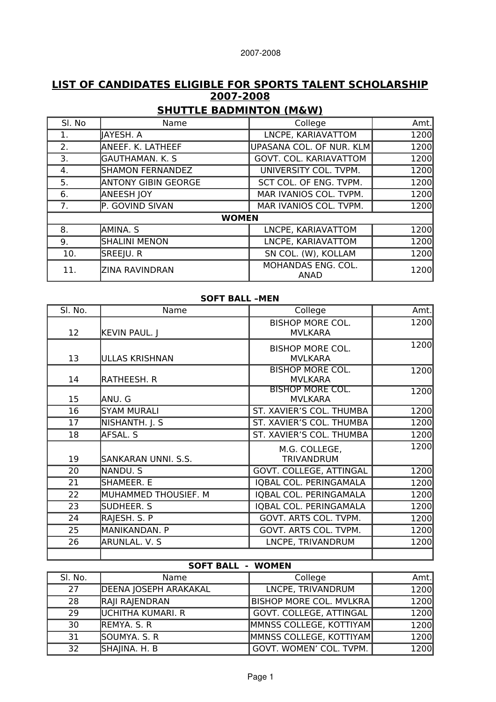# **LIST OF CANDIDATES ELIGIBLE FOR SPORTS TALENT SCHOLARSHIP 2007-2008**

# **SHUTTLE BADMINTON (M&W)**

| SI. No | Name                       | College                    | Amt. |
|--------|----------------------------|----------------------------|------|
| 1.     | JAYESH. A                  | LNCPE, KARIAVATTOM         | 1200 |
| 2.     | ANEEF. K. LATHEEF          | UPASANA COL. OF NUR. KLM   | 1200 |
| 3.     | <b>GAUTHAMAN. K. S</b>     | GOVT. COL. KARIAVATTOM     | 1200 |
| 4.     | <b>SHAMON FERNANDEZ</b>    | UNIVERSITY COL. TVPM.      | 1200 |
| 5.     | <b>ANTONY GIBIN GEORGE</b> | SCT COL. OF ENG. TVPM.     | 1200 |
| 6.     | <b>ANEESH JOY</b>          | MAR IVANIOS COL. TVPM.     | 1200 |
| 7.     | P. GOVIND SIVAN            | MAR IVANIOS COL. TVPM.     | 1200 |
|        | <b>WOMEN</b>               |                            |      |
| 8.     | AMINA. S                   | LNCPE, KARIAVATTOM         | 1200 |
| 9.     | <b>SHALINI MENON</b>       | LNCPE, KARIAVATTOM         | 1200 |
| 10.    | SREEJU. R                  | SN COL. (W), KOLLAM        | 1200 |
| 11.    | <b>ZINA RAVINDRAN</b>      | MOHANDAS ENG. COL.<br>ANAD | 1200 |

#### **SOFT BALL –MEN**

| SI. No. | Name                 | College                                   | Amt. |
|---------|----------------------|-------------------------------------------|------|
| 12      | <b>KEVIN PAUL. J</b> | <b>BISHOP MORE COL.</b><br><b>MVLKARA</b> | 1200 |
| 13      | ULLAS KRISHNAN       | <b>BISHOP MORE COL.</b><br><b>MVLKARA</b> | 1200 |
| 14      | RATHEESH. R          | <b>BISHOP MORE COL.</b><br><b>MVLKARA</b> | 1200 |
| 15      | ANU. G               | <b>BISHOP MORE COL.</b><br><b>MVLKARA</b> | 1200 |
| 16      | <b>SYAM MURALI</b>   | ST. XAVIER'S COL. THUMBA                  | 1200 |
| 17      | NISHANTH. J. S       | ST. XAVIER'S COL. THUMBA                  | 1200 |
| 18      | AFSAL. S             | ST. XAVIER'S COL. THUMBA                  | 1200 |
| 19      | SANKARAN UNNI. S.S.  | M.G. COLLEGE,<br><b>TRIVANDRUM</b>        | 1200 |
| 20      | NANDU. S             | GOVT. COLLEGE, ATTINGAL                   | 1200 |
| 21      | SHAMEER. E           | IQBAL COL. PERINGAMALA                    | 1200 |
| 22      | MUHAMMED THOUSIEF. M | IQBAL COL. PERINGAMALA                    | 1200 |
| 23      | SUDHEER. S           | IQBAL COL. PERINGAMALA                    | 1200 |
| 24      | RAJESH. S. P         | GOVT. ARTS COL. TVPM.                     | 1200 |
| 25      | MANIKANDAN. P        | GOVT. ARTS COL. TVPM.                     | 1200 |
| 26      | ARUNLAL. V. S        | LNCPE, TRIVANDRUM                         | 1200 |
|         |                      |                                           |      |

#### **SOFT BALL - WOMEN**

| SI. No. | Name                     | College                        | Amt. |
|---------|--------------------------|--------------------------------|------|
| 27      | DEENA JOSEPH ARAKAKAL    | LNCPE, TRIVANDRUM              | 1200 |
| 28      | RAJI RAJENDRAN           | <b>BISHOP MORE COL. MVLKRA</b> | 1200 |
| 29      | <b>UCHITHA KUMARI. R</b> | GOVT. COLLEGE, ATTINGAL        | 1200 |
| 30      | REMYA. S. R              | MMNSS COLLEGE, KOTTIYAM        | 1200 |
| 31      | SOUMYA. S. R             | MMNSS COLLEGE, KOTTIYAM        | 1200 |
| 32      | SHAJINA. H. B            | GOVT. WOMEN' COL. TVPM.        | 1200 |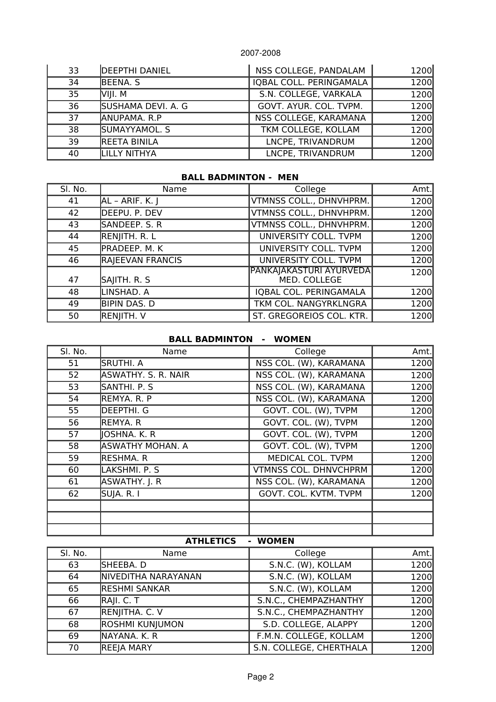| 33 | <b>DEEPTHI DANIEL</b> | NSS COLLEGE, PANDALAM   | 1200 |
|----|-----------------------|-------------------------|------|
| 34 | BEENA, S              | IQBAL COLL. PERINGAMALA | 1200 |
| 35 | VIII. M               | S.N. COLLEGE, VARKALA   | 1200 |
| 36 | SUSHAMA DEVI. A. G    | GOVT. AYUR. COL. TVPM.  | 1200 |
| 37 | ANUPAMA, R.P          | NSS COLLEGE, KARAMANA   | 1200 |
| 38 | SUMAYYAMOL. S         | TKM COLLEGE, KOLLAM     | 1200 |
| 39 | <b>REETA BINILA</b>   | LNCPE, TRIVANDRUM       | 1200 |
| 40 | LILLY NITHYA          | LNCPE, TRIVANDRUM       | 1200 |

#### **BALL BADMINTON - MEN**

| SI. No. | Name             | College                                         | Amt. |
|---------|------------------|-------------------------------------------------|------|
| 41      | AL - ARIF. K. J  | VTMNSS COLL., DHNVHPRM.                         | 1200 |
| 42      | DEEPU. P. DEV    | VTMNSS COLL., DHNVHPRM.                         | 1200 |
| 43      | SANDEEP. S. R    | VTMNSS COLL., DHNVHPRM.                         | 1200 |
| 44      | RENJITH. R. L    | UNIVERSITY COLL. TVPM                           | 1200 |
| 45      | PRADEEP. M. K    | UNIVERSITY COLL. TVPM                           | 1200 |
| 46      | RAJEEVAN FRANCIS | UNIVERSITY COLL. TVPM                           | 1200 |
| 47      | SAJITH. R. S     | <b>PANKAJAKASTURI AYURVEDA </b><br>MED. COLLEGE | 1200 |
| 48      | LINSHAD. A       | IQBAL COL. PERINGAMALA                          | 1200 |
| 49      | BIPIN DAS. D     | TKM COL. NANGYRKLNGRA                           | 1200 |
| 50      | RENJITH. V       | ST. GREGOREIOS COL. KTR.                        | 1200 |

#### **BALL BADMINTON - WOMEN**

| SI. No. | Name                | College                      | Amt. |
|---------|---------------------|------------------------------|------|
| 51      | <b>SRUTHI. A</b>    | NSS COL. (W), KARAMANA       | 1200 |
| 52      | ASWATHY. S. R. NAIR | NSS COL. (W), KARAMANA       | 1200 |
| 53      | SANTHI. P. S        | NSS COL. (W), KARAMANA       | 1200 |
| 54      | REMYA. R. P         | NSS COL. (W), KARAMANA       | 1200 |
| 55      | <b>DEEPTHI. G</b>   | GOVT. COL. (W), TVPM         | 1200 |
| 56      | REMYA. R            | GOVT. COL. (W), TVPM         | 1200 |
| 57      | JOSHNA. K. R        | GOVT. COL. (W), TVPM         | 1200 |
| 58      | ASWATHY MOHAN. A    | GOVT. COL. (W), TVPM         | 1200 |
| 59      | RESHMA. R           | MEDICAL COL. TVPM            | 1200 |
| 60      | LAKSHMI. P. S       | <b>VTMNSS COL. DHNVCHPRM</b> | 1200 |
| 61      | ASWATHY. J. R       | NSS COL. (W), KARAMANA       | 1200 |
| 62      | SUJA. R. I          | GOVT. COL. KVTM. TVPM        | 1200 |
|         |                     |                              |      |
|         |                     |                              |      |
|         |                     |                              |      |

## **ATHLETICS - WOMEN**

| SI. No. | Name                 | College                 | Amt. |
|---------|----------------------|-------------------------|------|
| 63      | SHEEBA. D            | S.N.C. (W), KOLLAM      | 1200 |
| 64      | NIVEDITHA NARAYANAN  | S.N.C. (W), KOLLAM      | 1200 |
| 65      | <b>RESHMI SANKAR</b> | S.N.C. (W), KOLLAM      | 1200 |
| 66      | RAJI. C. T           | S.N.C., CHEMPAZHANTHY   | 1200 |
| 67      | RENJITHA. C. V       | S.N.C., CHEMPAZHANTHY   | 1200 |
| 68      | ROSHMI KUNJUMON      | S.D. COLLEGE, ALAPPY    | 1200 |
| 69      | NAYANA. K. R         | F.M.N. COLLEGE, KOLLAM  | 1200 |
| 70      | <b>REEJA MARY</b>    | S.N. COLLEGE, CHERTHALA | 1200 |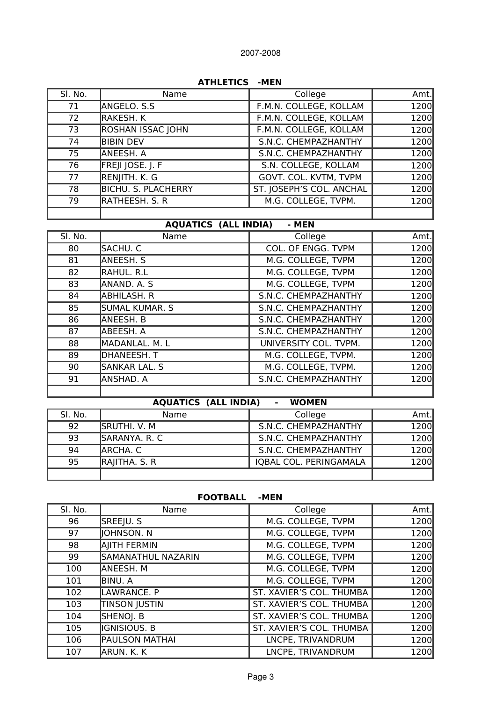| AIMLEIICS<br>-MEN |                            |                          |      |
|-------------------|----------------------------|--------------------------|------|
| SI. No.           | Name                       | College                  | Amt. |
| 71                | ANGELO. S.S                | F.M.N. COLLEGE, KOLLAM   | 1200 |
| 72                | RAKESH. K                  | F.M.N. COLLEGE, KOLLAM   | 1200 |
| 73                | <b>ROSHAN ISSAC JOHN</b>   | F.M.N. COLLEGE, KOLLAM   | 1200 |
| 74                | <b>BIBIN DEV</b>           | S.N.C. CHEMPAZHANTHY     | 1200 |
| 75                | ANEESH. A                  | S.N.C. CHEMPAZHANTHY     | 1200 |
| 76                | FREJI JOSE. J. F           | S.N. COLLEGE, KOLLAM     | 1200 |
| 77                | RENJITH. K. G              | GOVT. COL. KVTM, TVPM    | 1200 |
| 78                | <b>BICHU. S. PLACHERRY</b> | ST. JOSEPH'S COL. ANCHAL | 1200 |
| 79                | RATHEESH. S. R             | M.G. COLLEGE, TVPM.      | 1200 |
|                   |                            |                          |      |

# **ATHLETICS -MEN**

# **AQUATICS (ALL INDIA) - MEN**

| SI. No. | Name                  | College               | Amt. |
|---------|-----------------------|-----------------------|------|
| 80      | SACHU. C              | COL. OF ENGG. TVPM    | 1200 |
| 81      | ANEESH. S             | M.G. COLLEGE, TVPM    | 1200 |
| 82      | RAHUL. R.L            | M.G. COLLEGE, TVPM    | 1200 |
| 83      | ANAND. A. S           | M.G. COLLEGE, TVPM    | 1200 |
| 84      | ABHILASH. R           | S.N.C. CHEMPAZHANTHY  | 1200 |
| 85      | <b>SUMAL KUMAR. S</b> | S.N.C. CHEMPAZHANTHY  | 1200 |
| 86      | ANEESH. B             | S.N.C. CHEMPAZHANTHY  | 1200 |
| 87      | ABEESH. A             | S.N.C. CHEMPAZHANTHY  | 1200 |
| 88      | MADANLAL. M. L        | UNIVERSITY COL. TVPM. | 1200 |
| 89      | DHANEESH. T           | M.G. COLLEGE, TVPM.   | 1200 |
| 90      | SANKAR LAL. S         | M.G. COLLEGE, TVPM.   | 1200 |
| 91      | ANSHAD. A             | S.N.C. CHEMPAZHANTHY  | 1200 |
|         |                       |                       |      |

| <b>AQUATICS (ALL INDIA)</b><br><b>WOMEN</b><br>$\blacksquare$ |               |                        |      |
|---------------------------------------------------------------|---------------|------------------------|------|
| SI. No.                                                       | Name          | College                | Amt. |
| 92                                                            | sruthi. V. M  | S.N.C. CHEMPAZHANTHY   | 1200 |
| 93                                                            | SARANYA. R. C | S.N.C. CHEMPAZHANTHY   | 1200 |
| 94                                                            | ARCHA. C      | S.N.C. CHEMPAZHANTHY   | 1200 |
| 95                                                            | RAJITHA. S. R | IQBAL COL. PERINGAMALA | 1200 |
|                                                               |               |                        |      |

#### **FOOTBALL -MEN**

| SI. No. | Name                  | College                  | Amt. |
|---------|-----------------------|--------------------------|------|
| 96      | SREEJU. S             | M.G. COLLEGE, TVPM       | 1200 |
| 97      | <b>IOHNSON.N</b>      | M.G. COLLEGE, TVPM       | 1200 |
| 98      | AJITH FERMIN          | M.G. COLLEGE, TVPM       | 1200 |
| 99      | SAMANATHUL NAZARIN    | M.G. COLLEGE, TVPM       | 1200 |
| 100     | ANEESH. M             | M.G. COLLEGE, TVPM       | 1200 |
| 101     | BINU. A               | M.G. COLLEGE, TVPM       | 1200 |
| 102     | LAWRANCE. P           | ST. XAVIER'S COL. THUMBA | 1200 |
| 103     | <b>TINSON JUSTIN</b>  | ST. XAVIER'S COL. THUMBA | 1200 |
| 104     | SHENOJ. B             | ST. XAVIER'S COL. THUMBA | 1200 |
| 105     | ignisious. B          | ST. XAVIER'S COL. THUMBA | 1200 |
| 106     | <b>PAULSON MATHAI</b> | LNCPE, TRIVANDRUM        | 1200 |
| 107     | ARUN. K. K            | LNCPE, TRIVANDRUM        | 1200 |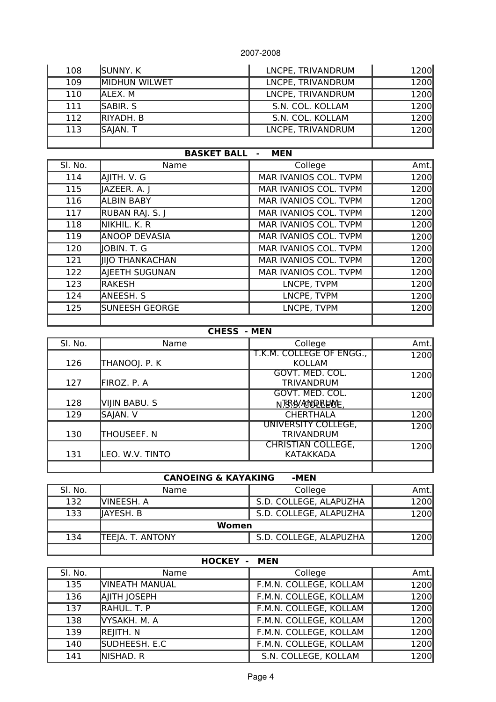| 108 | <b>SUNNY. K</b>      | LNCPE, TRIVANDRUM | 1200 |
|-----|----------------------|-------------------|------|
| 109 | <b>MIDHUN WILWET</b> | LNCPE, TRIVANDRUM | 1200 |
| 110 | IALEX. M             | LNCPE, TRIVANDRUM | 1200 |
| 111 | SABIR. S             | S.N. COL. KOLLAM  | 1200 |
| 112 | <b>RIYADH, B</b>     | S.N. COL. KOLLAM  | 1200 |
| 113 | SAJAN. T             | LNCPE, TRIVANDRUM | 1200 |
|     |                      |                   |      |

| <b>BASKET BALL</b><br><b>MEN</b> |                        |                       |       |
|----------------------------------|------------------------|-----------------------|-------|
| SI. No.                          | Name                   | College               | Amt.  |
| 114                              | AJITH. V. G            | MAR IVANIOS COL. TVPM | 1200  |
| 115                              | JAZEER. A. J           | MAR IVANIOS COL. TVPM | 1200  |
| 116                              | <b>ALBIN BABY</b>      | MAR IVANIOS COL. TVPM | 1200  |
| 117                              | RUBAN RAJ. S. J        | MAR IVANIOS COL. TVPM | 1200  |
| 118                              | Nikhil. K. R           | MAR IVANIOS COL. TVPM | 1200  |
| 119                              | <b>ANOOP DEVASIA</b>   | MAR IVANIOS COL. TVPM | 1200  |
| 120                              | JOBIN. T. G            | MAR IVANIOS COL. TVPM | 1200  |
| 121                              | <b>IIIO THANKACHAN</b> | MAR IVANIOS COL. TVPM | 1200  |
| 122                              | AJEETH SUGUNAN         | MAR IVANIOS COL. TVPM | 1200  |
| 123                              | <b>RAKESH</b>          | LNCPE, TVPM           | 1200  |
| 124                              | ANEESH. S              | LNCPE, TVPM           | 1200  |
| 125                              | <b>SUNEESH GEORGE</b>  | LNCPE, TVPM           | 1200l |
|                                  |                        |                       |       |

### **CHESS - MEN**

| SI. No. | Name            | College                                       | Amt. |
|---------|-----------------|-----------------------------------------------|------|
| 126     | THANOOJ. P. K   | T.K.M. COLLEGE OF ENGG.,<br><b>KOLLAM</b>     | 1200 |
| 127     | FIROZ. P. A     | GOVT. MED. COL.<br><b>TRIVANDRUM</b>          | 1200 |
| 128     | VIJIN BABU. S   | GOVT. MED. COL.<br>N.B.B. SOPPERFORE          | 1200 |
| 129     | SAJAN. V        | <b>CHERTHALA</b>                              | 1200 |
| 130     | THOUSEEF. N     | UNIVERSITY COLLEGE,<br><b>TRIVANDRUM</b>      | 1200 |
| 131     | LEO. W.V. TINTO | <b>CHRISTIAN COLLEGE,</b><br><b>KATAKKADA</b> | 1200 |
|         |                 |                                               |      |

# **CANOEING & KAYAKING -MEN**

| SI. No. | Name                    | College                | Amt. |
|---------|-------------------------|------------------------|------|
| 132     | lvineesh. A             | S.D. COLLEGE, ALAPUZHA | 1200 |
| 133     | liayesh. B              | S.D. COLLEGE, ALAPUZHA | 1200 |
|         | Women                   |                        |      |
| 134     | <b>TEEJA. T. ANTONY</b> | S.D. COLLEGE, ALAPUZHA | 1200 |
|         |                         |                        |      |

# **HOCKEY - MEN**

| SI. No. | Name                  | College                | Amt. |
|---------|-----------------------|------------------------|------|
| 135     | <b>VINEATH MANUAL</b> | F.M.N. COLLEGE, KOLLAM | 1200 |
| 136     | AJITH JOSEPH          | F.M.N. COLLEGE, KOLLAM | 1200 |
| 137     | <b>RAHUL, T. P</b>    | F.M.N. COLLEGE, KOLLAM | 1200 |
| 138     | <b>VYSAKH, M. A.</b>  | F.M.N. COLLEGE, KOLLAM | 1200 |
| 139     | REJITH. N             | F.M.N. COLLEGE, KOLLAM | 1200 |
| 140     | SUDHEESH. E.C         | F.M.N. COLLEGE, KOLLAM | 1200 |
| 141     | <b>NISHAD, R</b>      | S.N. COLLEGE, KOLLAM   | 1200 |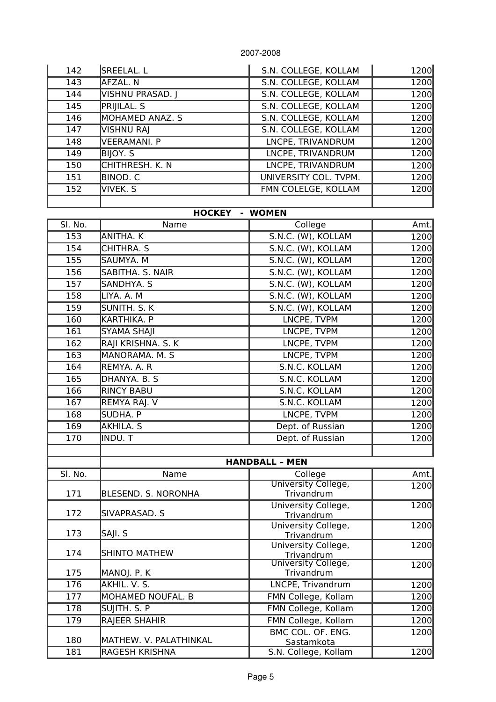| 142 | SREELAL. L       | S.N. COLLEGE, KOLLAM  | 1200 |
|-----|------------------|-----------------------|------|
| 143 | AFZAL.NN         | S.N. COLLEGE, KOLLAM  | 1200 |
| 144 | VISHNU PRASAD. J | S.N. COLLEGE, KOLLAM  | 1200 |
| 145 | PRIJILAL. S      | S.N. COLLEGE, KOLLAM  | 1200 |
| 146 | MOHAMED ANAZ. S  | S.N. COLLEGE, KOLLAM  | 1200 |
| 147 | VISHNU RAJ       | S.N. COLLEGE, KOLLAM  | 1200 |
| 148 | VEERAMANI. P     | LNCPE, TRIVANDRUM     | 1200 |
| 149 | BIJOY. S         | LNCPE, TRIVANDRUM     | 1200 |
| 150 | CHITHRESH. K. N  | LNCPE, TRIVANDRUM     | 1200 |
| 151 | <b>BINOD. C</b>  | UNIVERSITY COL. TVPM. | 1200 |
| 152 | VIVEK. S         | FMN COLELGE, KOLLAM   | 1200 |
|     |                  |                       |      |

### **HOCKEY - WOMEN**

| SI. No. | Name               | College            | Amt. |
|---------|--------------------|--------------------|------|
| 153     | ANITHA. K          | S.N.C. (W), KOLLAM | 1200 |
| 154     | CHITHRA. S         | S.N.C. (W), KOLLAM | 1200 |
| 155     | SAUMYA. M          | S.N.C. (W), KOLLAM | 1200 |
| 156     | SABITHA. S. NAIR   | S.N.C. (W), KOLLAM | 1200 |
| 157     | SANDHYA. S         | S.N.C. (W), KOLLAM | 1200 |
| 158     | LIYA. A. M         | S.N.C. (W), KOLLAM | 1200 |
| 159     | SUNITH. S. K       | S.N.C. (W), KOLLAM | 1200 |
| 160     | KARTHIKA. P        | LNCPE, TVPM        | 1200 |
| 161     | SYAMA SHAJI        | LNCPE, TVPM        | 1200 |
| 162     | RAJI KRISHNA. S. K | LNCPE, TVPM        | 1200 |
| 163     | MANORAMA. M. S     | LNCPE, TVPM        | 1200 |
| 164     | REMYA. A. R        | S.N.C. KOLLAM      | 1200 |
| 165     | DHANYA. B. S       | S.N.C. KOLLAM      | 1200 |
| 166     | <b>RINCY BABU</b>  | S.N.C. KOLLAM      | 1200 |
| 167     | REMYA RAJ. V       | S.N.C. KOLLAM      | 1200 |
| 168     | SUDHA. P           | LNCPE, TVPM        | 1200 |
| 169     | AKHILA. S          | Dept. of Russian   | 1200 |
| 170     | INDU. T            | Dept. of Russian   | 1200 |
|         |                    |                    |      |

|         |                        | <b>HANDBALL - MEN</b>             |       |
|---------|------------------------|-----------------------------------|-------|
| SI. No. | Name                   | College                           | Amt.  |
| 171     | BLESEND. S. NORONHA    | University College,<br>Trivandrum | 1200  |
| 172     | SIVAPRASAD. S          | University College,<br>Trivandrum | 1200  |
| 173     | SAJI. S                | University College,<br>Trivandrum | 1200l |
| 174     | <b>SHINTO MATHEW</b>   | University College,<br>Trivandrum | 1200  |
| 175     | MANOJ. P. K            | University College,<br>Trivandrum | 1200  |
| 176     | AKHIL. V. S.           | LNCPE, Trivandrum                 | 1200  |
| 177     | MOHAMED NOUFAL. B      | FMN College, Kollam               | 1200  |
| 178     | SUJITH. S. P           | FMN College, Kollam               | 1200  |
| 179     | RAJEER SHAHIR          | FMN College, Kollam               | 1200  |
| 180     | MATHEW. V. PALATHINKAL | BMC COL. OF. ENG.<br>Sastamkota   | 1200l |
| 181     | <b>RAGESH KRISHNA</b>  | S.N. College, Kollam              | 1200  |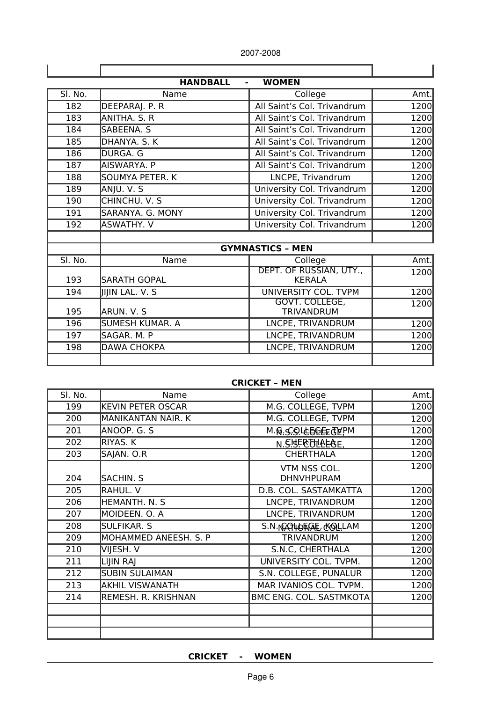2007-2008

| <b>HANDBALL</b><br><b>WOMEN</b><br>$\frac{1}{2}$ |                        |                                          |      |
|--------------------------------------------------|------------------------|------------------------------------------|------|
| SI. No.                                          | Name                   | College                                  | Amt. |
| 182                                              | DEEPARAJ. P. R         | All Saint's Col. Trivandrum              | 1200 |
| 183                                              | ANITHA, S. R           | All Saint's Col. Trivandrum              | 1200 |
| 184                                              | SABEENA. S             | All Saint's Col. Trivandrum              | 1200 |
| 185                                              | DHANYA, S. K.          | All Saint's Col. Trivandrum              | 1200 |
| 186                                              | DURGA. G               | All Saint's Col. Trivandrum              | 1200 |
| 187                                              | AISWARYA. P            | All Saint's Col. Trivandrum              | 1200 |
| 188                                              | SOUMYA PETER. K        | LNCPE, Trivandrum                        | 1200 |
| 189                                              | ANJU. V. S             | University Col. Trivandrum               | 1200 |
| 190                                              | CHINCHU. V. S          | University Col. Trivandrum               | 1200 |
| 191                                              | SARANYA, G. MONY       | University Col. Trivandrum               | 1200 |
| 192                                              | <b>ASWATHY, V</b>      | University Col. Trivandrum               | 1200 |
|                                                  |                        |                                          |      |
|                                                  |                        | <b>GYMNASTICS - MEN</b>                  |      |
| SI. No.                                          | Name                   | College                                  | Amt. |
| 193                                              | <b>SARATH GOPAL</b>    | DEPT. OF RUSSIAN, UTY.,<br><b>KERALA</b> | 1200 |
| 194                                              | <b>IIIIN LAL. V. S</b> | UNIVERSITY COL. TVPM                     | 1200 |
| 195                                              | ARUN. V. S             | GOVT. COLLEGE,<br><b>TRIVANDRUM</b>      | 1200 |
| 196                                              | SUMESH KUMAR. A        | LNCPE, TRIVANDRUM                        | 1200 |
| 197                                              | SAGAR. M. P            | LNCPE, TRIVANDRUM                        | 1200 |
| 198                                              | <b>DAWA CHOKPA</b>     | LNCPE, TRIVANDRUM                        | 1200 |
|                                                  |                        |                                          |      |

| <b>CRICKET - MEN</b> |  |  |  |  |
|----------------------|--|--|--|--|
|----------------------|--|--|--|--|

| SI. No. | Name                     | College                           | Amt. |
|---------|--------------------------|-----------------------------------|------|
| 199     | <b>KEVIN PETER OSCAR</b> | M.G. COLLEGE, TVPM                | 1200 |
| 200     | MANIKANTAN NAIR. K       | M.G. COLLEGE, TVPM                | 1200 |
| 201     | ANOOP. G. S              | M.Q.S.QICOQEEQA.b                 | 1200 |
| 202     | RIYAS. K                 | N. S.HERTHALAE.                   | 1200 |
| 203     | SAJAN. O.R               | <b>CHERTHALA</b>                  | 1200 |
| 204     | SACHIN. S                | VTM NSS COL.<br><b>DHNVHPURAM</b> | 1200 |
| 205     | RAHUL. V                 | D.B. COL. SASTAMKATTA             | 1200 |
| 206     | HEMANTH, N. S.           | LNCPE, TRIVANDRUM                 | 1200 |
| 207     | MOIDEEN. O. A            | LNCPE, TRIVANDRUM                 | 1200 |
| 208     | SULFIKAR. S              | S.N. NGQ46FGGE, GOLLAM            | 1200 |
| 209     | MOHAMMED ANEESH. S. P    | <b>TRIVANDRUM</b>                 | 1200 |
| 210     | VIJESH. V                | S.N.C, CHERTHALA                  | 1200 |
| 211     | LIJIN RAJ                | UNIVERSITY COL. TVPM.             | 1200 |
| 212     | <b>SUBIN SULAIMAN</b>    | S.N. COLLEGE, PUNALUR             | 1200 |
| 213     | <b>AKHIL VISWANATH</b>   | MAR IVANIOS COL. TVPM.            | 1200 |
| 214     | REMESH. R. KRISHNAN      | BMC ENG. COL. SASTMKOTA           | 1200 |
|         |                          |                                   |      |
|         |                          |                                   |      |
|         |                          |                                   |      |

**CRICKET - WOMEN**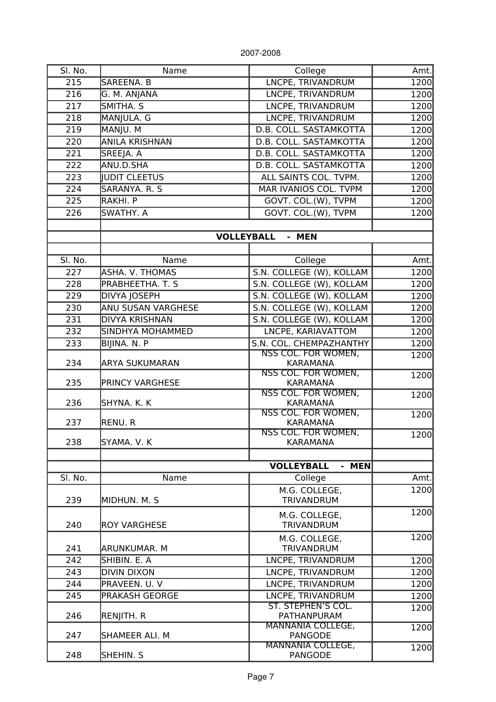| SI. No. | Name                  | College                                    | Amt. |
|---------|-----------------------|--------------------------------------------|------|
| 215     | SAREENA. B            | LNCPE, TRIVANDRUM                          | 1200 |
| 216     | G. M. ANJANA          | LNCPE, TRIVANDRUM                          | 1200 |
| 217     | SMITHA. S             | LNCPE, TRIVANDRUM                          | 1200 |
| 218     | MANJULA. G            | LNCPE, TRIVANDRUM                          | 1200 |
| 219     | MANJU. M              | D.B. COLL. SASTAMKOTTA                     | 1200 |
| 220     | <b>ANILA KRISHNAN</b> | D.B. COLL. SASTAMKOTTA                     | 1200 |
| 221     | SREEJA. A             | D.B. COLL. SASTAMKOTTA                     | 1200 |
| 222     | ANU.D.SHA             | D.B. COLL. SASTAMKOTTA                     | 1200 |
| 223     | <b>JUDIT CLEETUS</b>  | ALL SAINTS COL. TVPM.                      | 1200 |
| 224     | SARANYA. R. S         | MAR IVANIOS COL. TVPM                      | 1200 |
| 225     | RAKHI. P              | GOVT. COL.(W), TVPM                        | 1200 |
| 226     | SWATHY. A             | GOVT. COL.(W), TVPM                        | 1200 |
|         |                       |                                            |      |
|         |                       | <b>VOLLEYBALL</b><br>- MEN                 |      |
|         |                       |                                            |      |
| SI. No. | Name                  | College                                    | Amt. |
| 227     | ASHA. V. THOMAS       | S.N. COLLEGE (W), KOLLAM                   | 1200 |
| 228     | PRABHEETHA. T. S      | S.N. COLLEGE (W), KOLLAM                   | 1200 |
| 229     | DIVYA JOSEPH          | S.N. COLLEGE (W), KOLLAM                   | 1200 |
| 230     | ANU SUSAN VARGHESE    | S.N. COLLEGE (W), KOLLAM                   | 1200 |
| 231     | DIVYA KRISHNAN        | S.N. COLLEGE (W), KOLLAM                   | 1200 |
| 232     | SINDHYA MOHAMMED      | LNCPE, KARIAVATTOM                         | 1200 |
| 233     | BIJINA. N. P          | S.N. COL. CHEMPAZHANTHY                    | 1200 |
|         |                       | NSS COL. FOR WOMEN,                        | 1200 |
| 234     | ARYA SUKUMARAN        | <b>KARAMANA</b>                            |      |
|         |                       | NSS COL. FOR WOMEN,                        | 1200 |
| 235     | PRINCY VARGHESE       | <b>KARAMANA</b>                            |      |
|         |                       | NSS COL. FOR WOMEN,                        | 1200 |
| 236     | SHYNA. K. K           | <b>KARAMANA</b><br>NSS COL. FOR WOMEN,     |      |
| 237     | RENU. R               | <b>KARAMANA</b>                            | 1200 |
|         |                       | <b>NSS COL. FOR WOMEN,</b>                 | 1200 |
| 238     | SYAMA. V. K           | <b>KARAMANA</b>                            |      |
|         |                       |                                            |      |
|         |                       | - MEN<br><b>VOLLEYBALL</b>                 |      |
| SI. No. | Name                  | College                                    | Amt. |
|         |                       | M.G. COLLEGE,                              | 1200 |
| 239     | MIDHUN, M. S.         | <b>TRIVANDRUM</b>                          |      |
|         |                       | M.G. COLLEGE,                              | 1200 |
| 240     | <b>ROY VARGHESE</b>   | <b>TRIVANDRUM</b>                          |      |
|         |                       | M.G. COLLEGE,                              | 1200 |
| 241     | ARUNKUMAR. M          | <b>TRIVANDRUM</b>                          |      |
| 242     | SHIBIN. E. A          | LNCPE, TRIVANDRUM                          | 1200 |
| 243     | <b>DIVIN DIXON</b>    | LNCPE, TRIVANDRUM                          | 1200 |
| 244     | PRAVEEN. U. V         | LNCPE, TRIVANDRUM                          | 1200 |
| 245     | PRAKASH GEORGE        | LNCPE, TRIVANDRUM                          | 1200 |
|         |                       | ST. STEPHEN'S COL.                         | 1200 |
| 246     | RENJITH. R            | <b>PATHANPURAM</b>                         |      |
|         | SHAMEER ALI. M        | <b>MANNANIA COLLEGE,</b>                   | 1200 |
| 247     |                       | <b>PANGODE</b><br><b>MANNANIA COLLEGE,</b> | 1200 |
| 248     | SHEHIN. S             | PANGODE                                    |      |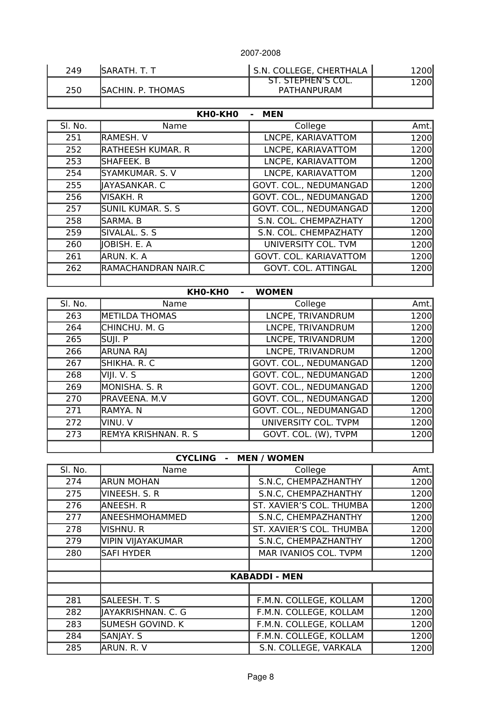| 249 | ISARATH. T. T            | <b>S.N. COLLEGE, CHERTHALA  </b>  | 1200 <sub>l</sub> |
|-----|--------------------------|-----------------------------------|-------------------|
| 250 | <b>SACHIN. P. THOMAS</b> | ST. STEPHEN'S COL.<br>PATHANPURAM | 1200l             |
|     |                          |                                   |                   |

# **KH0-KH0 - MEN**

| SI. No. | Name                     | College                    | Amt. |
|---------|--------------------------|----------------------------|------|
| 251     | RAMESH. V                | LNCPE, KARIAVATTOM         | 1200 |
| 252     | <b>RATHEESH KUMAR. R</b> | LNCPE, KARIAVATTOM         | 1200 |
| 253     | SHAFEEK. B               | LNCPE, KARIAVATTOM         | 1200 |
| 254     | SYAMKUMAR. S. V          | LNCPE, KARIAVATTOM         | 1200 |
| 255     | IAYASANKAR. C            | GOVT. COL., NEDUMANGAD     | 1200 |
| 256     | VISAKH. R                | GOVT. COL., NEDUMANGAD     | 1200 |
| 257     | <b>SUNIL KUMAR. S. S</b> | GOVT. COL., NEDUMANGAD     | 1200 |
| 258     | SARMA. B                 | S.N. COL. CHEMPAZHATY      | 1200 |
| 259     | SIVALAL, S. S.           | S.N. COL. CHEMPAZHATY      | 1200 |
| 260     | IOBISH. E. A             | UNIVERSITY COL. TVM        | 1200 |
| 261     | ARUN. K. A               | GOVT. COL. KARIAVATTOM     | 1200 |
| 262     | RAMACHANDRAN NAIR.C      | <b>GOVT. COL. ATTINGAL</b> | 1200 |
|         |                          |                            |      |

### **KH0-KH0 - WOMEN**

| SI. No. | Name                  | College                | Amt. |
|---------|-----------------------|------------------------|------|
| 263     | <b>METILDA THOMAS</b> | LNCPE, TRIVANDRUM      | 1200 |
| 264     | CHINCHU. M. G         | LNCPE, TRIVANDRUM      | 1200 |
| 265     | SUJI. P               | LNCPE, TRIVANDRUM      | 1200 |
| 266     | <b>ARUNA RAJ</b>      | LNCPE, TRIVANDRUM      | 1200 |
| 267     | SHIKHA. R. C          | GOVT. COL., NEDUMANGAD | 1200 |
| 268     | VIII. V. S            | GOVT. COL., NEDUMANGAD | 1200 |
| 269     | <b>MONISHA. S. R</b>  | GOVT. COL., NEDUMANGAD | 1200 |
| 270     | PRAVEENA, M.V         | GOVT. COL., NEDUMANGAD | 1200 |
| 271     | RAMYA.N               | GOVT. COL., NEDUMANGAD | 1200 |
| 272     | VINU. V               | UNIVERSITY COL. TVPM   | 1200 |
| 273     | REMYA KRISHNAN. R. S  | GOVT. COL. (W), TVPM   | 1200 |
|         |                       |                        |      |

# **CYCLING - MEN / WOMEN**

| SI. No. | Name               | College                  | Amt. |
|---------|--------------------|--------------------------|------|
| 274     | <b>ARUN MOHAN</b>  | S.N.C, CHEMPAZHANTHY     | 1200 |
| 275     | VINEESH. S. R      | S.N.C, CHEMPAZHANTHY     | 1200 |
| 276     | ANEESH. R          | ST. XAVIER'S COL. THUMBA | 1200 |
| 277     | ANEESHMOHAMMED     | S.N.C, CHEMPAZHANTHY     | 1200 |
| 278     | VISHNU. R          | ST. XAVIER'S COL. THUMBA | 1200 |
| 279     | VIPIN VIJAYAKUMAR  | S.N.C, CHEMPAZHANTHY     | 1200 |
| 280     | <b>SAFI HYDER</b>  | MAR IVANIOS COL. TVPM    | 1200 |
|         |                    |                          |      |
|         |                    | <b>KABADDI - MEN</b>     |      |
|         |                    |                          |      |
| 281     | SALEESH. T. S      | F.M.N. COLLEGE, KOLLAM   | 1200 |
| 282     | JAYAKRISHNAN. C. G | F.M.N. COLLEGE, KOLLAM   | 1200 |
| 283     | SUMESH GOVIND. K   | F.M.N. COLLEGE, KOLLAM   | 1200 |
| 284     | SANJAY. S          | F.M.N. COLLEGE, KOLLAM   | 1200 |
| 285     | ARUN. R. V         | S.N. COLLEGE, VARKALA    | 1200 |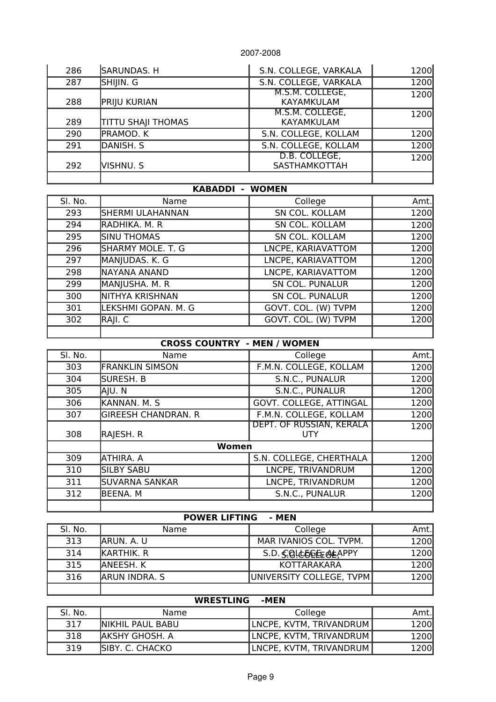| 286 | SARUNDAS. H               | S.N. COLLEGE, VARKALA          | 1200 |
|-----|---------------------------|--------------------------------|------|
| 287 | SHIJIN. G                 | S.N. COLLEGE, VARKALA          | 1200 |
| 288 | <b>PRIJU KURIAN</b>       | M.S.M. COLLEGE,<br>KAYAMKULAM  | 1200 |
| 289 | <b>TITTU SHAJI THOMAS</b> | M.S.M. COLLEGE,<br>KAYAMKULAM  | 1200 |
| 290 | PRAMOD. K                 | S.N. COLLEGE, KOLLAM           | 1200 |
| 291 | DANISH. S                 | S.N. COLLEGE, KOLLAM           | 1200 |
| 292 | Vishnu. S                 | D.B. COLLEGE,<br>SASTHAMKOTTAH | 1200 |
|     |                           |                                |      |

### **KABADDI - WOMEN**

| SI. No. | Name                | College                | Amt. |
|---------|---------------------|------------------------|------|
| 293     | SHERMI ULAHANNAN    | SN COL. KOLLAM         | 1200 |
| 294     | RADHIKA. M. R       | SN COL. KOLLAM         | 1200 |
| 295     | <b>SINU THOMAS</b>  | SN COL. KOLLAM         | 1200 |
| 296     | SHARMY MOLE. T. G   | LNCPE, KARIAVATTOM     | 1200 |
| 297     | MANJUDAS. K. G      | LNCPE, KARIAVATTOM     | 1200 |
| 298     | NAYANA ANAND        | LNCPE, KARIAVATTOM     | 1200 |
| 299     | MANJUSHA. M. R      | <b>SN COL. PUNALUR</b> | 1200 |
| 300     | NITHYA KRISHNAN     | <b>SN COL. PUNALUR</b> | 1200 |
| 301     | LEKSHMI GOPAN. M. G | GOVT. COL. (W) TVPM    | 1200 |
| 302     | RAJI. C             | GOVT. COL. (W) TVPM    | 1200 |
|         |                     |                        |      |

### **CROSS COUNTRY - MEN / WOMEN**

| SI. No. | Name                       | College                         | Amt.  |
|---------|----------------------------|---------------------------------|-------|
| 303     | <b>FRANKLIN SIMSON</b>     | F.M.N. COLLEGE, KOLLAM          | 1200  |
| 304     | SURESH. B                  | S.N.C., PUNALUR                 | 1200  |
| 305     | AJU. N                     | S.N.C., PUNALUR                 | 1200  |
| 306     | KANNAN. M. S               | GOVT. COLLEGE, ATTINGAL         | 1200  |
| 307     | <b>GIREESH CHANDRAN. R</b> | F.M.N. COLLEGE, KOLLAM          | 1200  |
| 308     | RAJESH. R                  | DEPT. OF RUSSIAN, KERALA<br>UTY | 1200l |
|         | Women                      |                                 |       |
| 309     | ATHIRA. A                  | S.N. COLLEGE, CHERTHALA         | 1200  |
| 310     | <b>SILBY SABU</b>          | LNCPE, TRIVANDRUM               | 1200  |
| 311     | <b>SUVARNA SANKAR</b>      | LNCPE, TRIVANDRUM               | 1200  |
| 312     | <b>BEENA, M</b>            | S.N.C., PUNALUR                 | 1200  |
|         |                            |                                 |       |

# **POWER LIFTING - MEN**

| SI. No. | Name               | College                  | Amt. |
|---------|--------------------|--------------------------|------|
| 313     | IARUN. A. U        | MAR IVANIOS COL. TVPM.   | 1200 |
| 314     | <b>IKARTHIK. R</b> | S.D. S. GLE DE E GEAPPY  | 1200 |
| 315     | IANEESH. K         | KOTTARAKARA              | 1200 |
| 316     | ARUN INDRA. S      | UNIVERSITY COLLEGE, TVPM | 1200 |
|         |                    |                          |      |

# **WRESTLING -MEN**

| SI. No. | Name                     | College                 | Amt. |
|---------|--------------------------|-------------------------|------|
| 317     | <b>INIKHIL PAUL BABU</b> | LNCPE, KVTM, TRIVANDRUM | 1200 |
| 318     | IAKSHY GHOSH. A          | LNCPE, KVTM, TRIVANDRUM | 1200 |
| 319     | ISIBY. C. CHACKO         | LNCPE, KVTM, TRIVANDRUM | 1200 |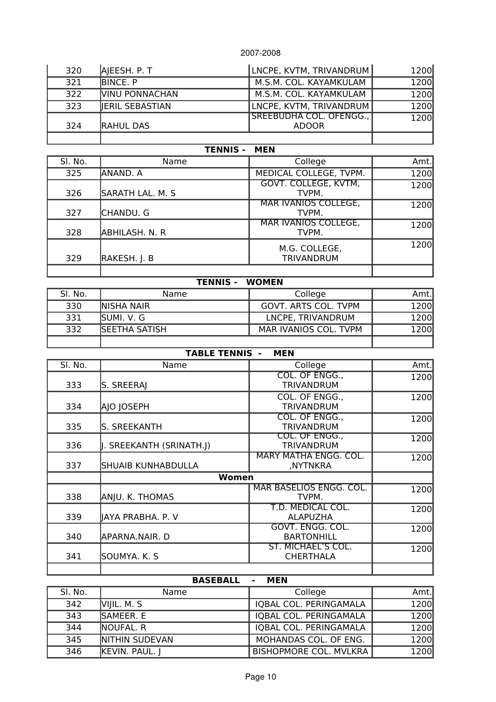| 320 | AJEESH. P. T           | LNCPE, KVTM, TRIVANDRUM                 | 1200 |
|-----|------------------------|-----------------------------------------|------|
| 321 | BINCE. P               | M.S.M. COL. KAYAMKULAM                  | 1200 |
| 322 | <b>VINU PONNACHAN</b>  | M.S.M. COL. KAYAMKULAM                  | 1200 |
| 323 | <b>IERIL SEBASTIAN</b> | LNCPE, KVTM, TRIVANDRUM                 | 1200 |
| 324 | <b>RAHUL DAS</b>       | SREEBUDHA COL. OFENGG.,<br><b>ADOOR</b> | 1200 |
|     |                        |                                         |      |

# **TENNIS - MEN**

| SI. No. | Name             | College                              | Amt.  |
|---------|------------------|--------------------------------------|-------|
| 325     | ANAND. A         | MEDICAL COLLEGE, TVPM.               | 1200  |
| 326     | SARATH LAL. M. S | <b>GOVT. COLLEGE, KVTM,</b><br>TVPM. | 1200  |
| 327     | CHANDU. G        | <b>MAR IVANIOS COLLEGE,</b><br>TVPM. | 1200l |
| 328     | ABHILASH. N. R   | <b>MAR IVANIOS COLLEGE,</b><br>TVPM. | 1200  |
| 329     | RAKESH. J. B     | M.G. COLLEGE,<br><b>TRIVANDRUM</b>   | 1200l |
|         |                  |                                      |       |

## **TENNIS - WOMEN**

| SI. No. | Name                 | College                     | Amt. |
|---------|----------------------|-----------------------------|------|
| 330     | <b>INISHA NAIR</b>   | <b>GOVT. ARTS COL. TVPM</b> | 1200 |
| 331     | ISUMI. V. G          | LNCPE, TRIVANDRUM           | 1200 |
| 332     | <b>SEETHA SATISH</b> | MAR IVANIOS COL. TVPM       | 1200 |
|         |                      |                             |      |

# **TABLE TENNIS - MEN**

| SI. No. | Name                     | College                                       | Amt. |
|---------|--------------------------|-----------------------------------------------|------|
| 333     | S. SREERAJ               | COL. OF ENGG.,<br><b>TRIVANDRUM</b>           | 1200 |
| 334     | AJO JOSEPH               | COL. OF ENGG.,<br><b>TRIVANDRUM</b>           | 1200 |
| 335     | S. SREEKANTH             | COL. OF ENGG.,<br><b>TRIVANDRUM</b>           | 1200 |
| 336     | J. SREEKANTH (SRINATH.J) | COL. OF ENGG.,<br>TRIVANDRUM                  | 1200 |
| 337     | SHUAIB KUNHABDULLA       | <b>MARY MATHA ENGG. COL.</b><br>,NYTNKRA      | 1200 |
|         | Women                    |                                               |      |
| 338     | ANJU. K. THOMAS          | <b>MAR BASELIOS ENGG. COL.</b><br>TVPM.       | 1200 |
| 339     | JAYA PRABHA. P. V        | T.D. MEDICAL COL.<br><b>ALAPUZHA</b>          | 1200 |
| 340     | APARNA.NAIR. D           | GOVT. ENGG. COL.<br><b>BARTONHILL</b>         | 1200 |
| 341     | SOUMYA. K. S             | <b>ST. MICHAEL'S COL.</b><br><b>CHERTHALA</b> | 1200 |
|         |                          |                                               |      |

## **BASEBALL - MEN**

| SI. No. | Name                  | College                       | Amt. |
|---------|-----------------------|-------------------------------|------|
| 342     | VIIIL. M. S.          | IOBAL COL. PERINGAMALA        | 1200 |
| 343     | <b>ISAMEER, E</b>     | IOBAL COL. PERINGAMALA        | 1200 |
| 344     | <b>INOUFAL, R</b>     | IOBAL COL. PERINGAMALA        | 1200 |
| 345     | <b>NITHIN SUDEVAN</b> | MOHANDAS COL. OF ENG.         | 1200 |
| 346     | KEVIN. PAUL.          | <b>BISHOPMORE COL. MVLKRA</b> | 1200 |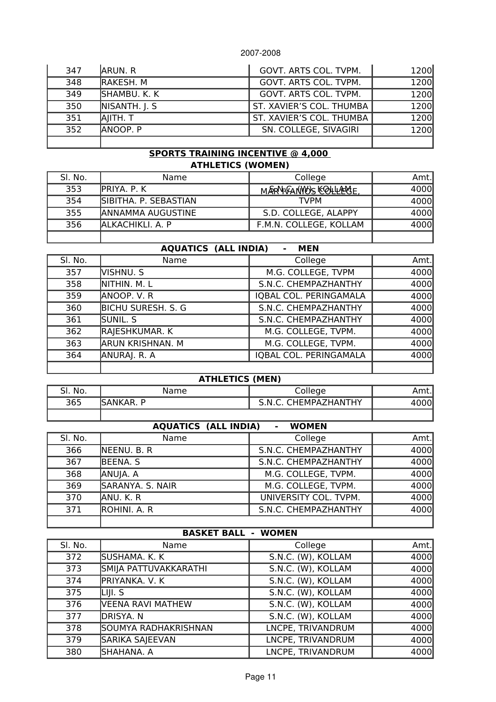| 347 | <b>JARUN, R</b>  | GOVT. ARTS COL. TVPM.    | 1200 |
|-----|------------------|--------------------------|------|
| 348 | <b>RAKESH, M</b> | GOVT. ARTS COL. TVPM.    | 1200 |
| 349 | SHAMBU. K. K     | GOVT. ARTS COL. TVPM.    | 1200 |
| 350 | NISANTH. J. S.   | ST. XAVIER'S COL. THUMBA | 1200 |
| 351 | AIITH. T         | ST. XAVIER'S COL. THUMBA | 1200 |
| 352 | <b>ANOOP.</b> P  | SN. COLLEGE, SIVAGIRI    | 1200 |
|     |                  |                          |      |

### **SPORTS TRAINING INCENTIVE @ 4,000 ATHLETICS (WOMEN)**

| SI. No. | Name                     | College                  | Amt.  |
|---------|--------------------------|--------------------------|-------|
| 353     | IPRIYA. P. K             | MARNIVANYO'S KOLLLAERSE. | 4000  |
| 354     | SIBITHA. P. SEBASTIAN    | <b>TVPM</b>              | 4000  |
| 355     | <b>ANNAMMA AUGUSTINE</b> | S.D. COLLEGE, ALAPPY     | 4000l |
| 356     | ALKACHIKLI. A. P         | F.M.N. COLLEGE, KOLLAM   | 4000l |
|         |                          |                          |       |

## **AQUATICS (ALL INDIA) - MEN**

| SI. No. | Name                      | College                | Amt. |
|---------|---------------------------|------------------------|------|
| 357     | VISHNU. S                 | M.G. COLLEGE, TVPM     | 4000 |
| 358     | NITHIN. M. L              | S.N.C. CHEMPAZHANTHY   | 4000 |
| 359     | ANOOP. V. R               | IQBAL COL. PERINGAMALA | 4000 |
| 360     | <b>BICHU SURESH. S. G</b> | S.N.C. CHEMPAZHANTHY   | 4000 |
| 361     | Sunil. S                  | S.N.C. CHEMPAZHANTHY   | 4000 |
| 362     | RAJESHKUMAR. K            | M.G. COLLEGE, TVPM.    | 4000 |
| 363     | <b>ARUN KRISHNAN. M</b>   | M.G. COLLEGE, TVPM.    | 4000 |
| 364     | ANURAJ. R. A              | IOBAL COL. PERINGAMALA | 4000 |
|         |                           |                        |      |

#### **ATHLETICS (MEN)**

| cı<br>SI. No. | Name                   | College                 | Amt. |
|---------------|------------------------|-------------------------|------|
| 365           | <b>ISANKAR. I</b><br>D | CHEMPAZHANTHY<br>5.N.C. |      |
|               |                        |                         |      |

# **AQUATICS (ALL INDIA) - WOMEN**

| SI. No. | Name             | College               | Amt. |
|---------|------------------|-----------------------|------|
| 366     | NEENU. B. R      | S.N.C. CHEMPAZHANTHY  | 4000 |
| 367     | <b>BEENA. S</b>  | S.N.C. CHEMPAZHANTHY  | 4000 |
| 368     | ANUJA. A         | M.G. COLLEGE, TVPM.   | 4000 |
| 369     | SARANYA. S. NAIR | M.G. COLLEGE, TVPM.   | 4000 |
| 370     | ANU. K. R        | UNIVERSITY COL. TVPM. | 4000 |
| 371     | lrohini. A. R    | S.N.C. CHEMPAZHANTHY  | 4000 |
|         |                  |                       |      |

### **BASKET BALL - WOMEN**

| SI. No. | Name                  | College            | Amt. |
|---------|-----------------------|--------------------|------|
| 372     | lsushama. K. K        | S.N.C. (W), KOLLAM | 4000 |
| 373     | SMIJA PATTUVAKKARATHI | S.N.C. (W), KOLLAM | 4000 |
| 374     | PRIYANKA. V. K        | S.N.C. (W), KOLLAM | 4000 |
| 375     | LIJI. S               | S.N.C. (W), KOLLAM | 4000 |
| 376     | VEENA RAVI MATHEW     | S.N.C. (W), KOLLAM | 4000 |
| 377     | DRISYA. N             | S.N.C. (W), KOLLAM | 4000 |
| 378     | SOUMYA RADHAKRISHNAN  | LNCPE, TRIVANDRUM  | 4000 |
| 379     | SARIKA SAJEEVAN       | LNCPE, TRIVANDRUM  | 4000 |
| 380     | SHAHANA. A            | LNCPE, TRIVANDRUM  | 4000 |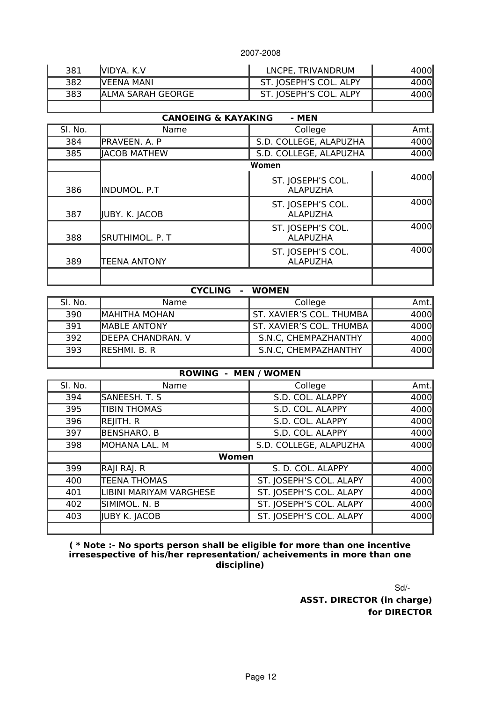| 381 | IVIDYA. K.V        | LNCPE, TRIVANDRUM      | 4000 |
|-----|--------------------|------------------------|------|
| 382 | IVEENA MANI        | ST. JOSEPH'S COL. ALPY |      |
| 383 | IALMA SARAH GEORGE | ST. JOSEPH'S COL. ALPY |      |
|     |                    |                        |      |

### **CANOEING & KAYAKING - MEN**

| SI. No. | Name                | College                              | Amt. |
|---------|---------------------|--------------------------------------|------|
| 384     | PRAVEEN. A. P       | S.D. COLLEGE, ALAPUZHA               | 4000 |
| 385     | <b>IACOB MATHEW</b> | S.D. COLLEGE, ALAPUZHA               | 4000 |
|         |                     | Women                                |      |
| 386     | INDUMOL. P.T        | ST. JOSEPH'S COL.<br><b>ALAPUZHA</b> | 4000 |
| 387     | JUBY. K. JACOB      | ST. JOSEPH'S COL.<br><b>ALAPUZHA</b> | 4000 |
| 388     | SRUTHIMOL. P. T     | ST. JOSEPH'S COL.<br><b>ALAPUZHA</b> | 4000 |
| 389     | <b>TEENA ANTONY</b> | ST. JOSEPH'S COL.<br><b>ALAPUZHA</b> | 4000 |
|         |                     |                                      |      |

|         | <b>CYCLING</b><br>$\blacksquare$ | <b>WOMEN</b>             |      |
|---------|----------------------------------|--------------------------|------|
| SI. No. | Name                             | College                  | Amt. |
| 390     | <b>MAHITHA MOHAN</b>             | ST. XAVIER'S COL. THUMBA | 4000 |
| 391     | <b>IMABLE ANTONY</b>             | ST. XAVIER'S COL. THUMBA | 4000 |
| 392     | <b>DEEPA CHANDRAN. V</b>         | S.N.C. CHEMPAZHANTHY     | 4000 |
| 393     | lreshmi. B. R                    | S.N.C, CHEMPAZHANTHY     | 4000 |
|         |                                  |                          |      |

### **ROWING - MEN / WOMEN**

| SI. No. | Name                    | College                 | Amt. |
|---------|-------------------------|-------------------------|------|
| 394     | SANEESH. T. S           | S.D. COL. ALAPPY        | 4000 |
| 395     | <b>TIBIN THOMAS</b>     | S.D. COL. ALAPPY        | 4000 |
| 396     | REJITH. R               | S.D. COL. ALAPPY        | 4000 |
| 397     | <b>BENSHARO. B</b>      | S.D. COL. ALAPPY        | 4000 |
| 398     | MOHANA LAL. M           | S.D. COLLEGE, ALAPUZHA  | 4000 |
|         | Women                   |                         |      |
| 399     | RAJI RAJ. R             | S. D. COL. ALAPPY       | 4000 |
| 400     | <b>TEENA THOMAS</b>     | ST. JOSEPH'S COL. ALAPY | 4000 |
| 401     | LIBINI MARIYAM VARGHESE | ST. JOSEPH'S COL. ALAPY | 4000 |
| 402     | SIMIMOL. N. B           | ST. JOSEPH'S COL. ALAPY | 4000 |
| 403     | JUBY K. JACOB           | ST. JOSEPH'S COL. ALAPY | 4000 |
|         |                         |                         |      |

**( \* Note :- No sports person shall be eligible for more than one incentive irresespective of his/her representation/ acheivements in more than one discipline)**

Sd/

**ASST. DIRECTOR (in charge) for DIRECTOR**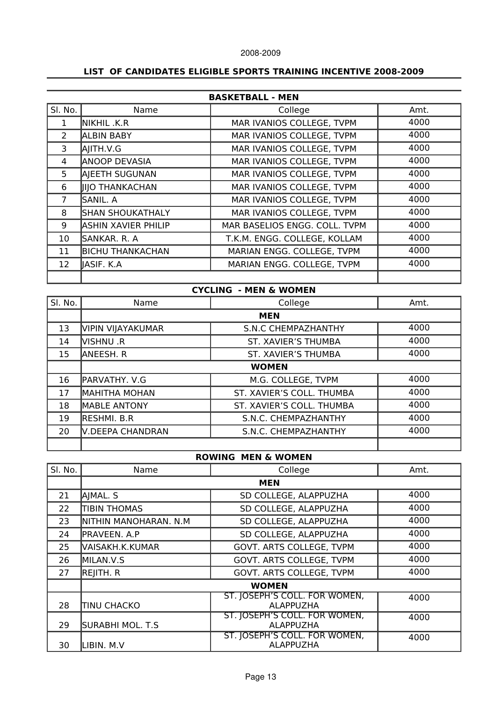#### **LIST OF CANDIDATES ELIGIBLE SPORTS TRAINING INCENTIVE 2008-2009**

| <b>BASKETBALL - MEN</b> |                            |                               |      |
|-------------------------|----------------------------|-------------------------------|------|
| SI. No.                 | Name                       | College                       | Amt. |
| 1                       | NIKHIL .K.R                | MAR IVANIOS COLLEGE, TVPM     | 4000 |
| 2                       | <b>ALBIN BABY</b>          | MAR IVANIOS COLLEGE, TVPM     | 4000 |
| 3                       | AIITH.V.G                  | MAR IVANIOS COLLEGE, TVPM     | 4000 |
| 4                       | <b>ANOOP DEVASIA</b>       | MAR IVANIOS COLLEGE, TVPM     | 4000 |
| 5                       | AJEETH SUGUNAN             | MAR IVANIOS COLLEGE, TVPM     | 4000 |
| 6                       | <b>IIIO THANKACHAN</b>     | MAR IVANIOS COLLEGE, TVPM     | 4000 |
| 7                       | lsanil. A                  | MAR IVANIOS COLLEGE, TVPM     | 4000 |
| 8                       | SHAN SHOUKATHALY           | MAR IVANIOS COLLEGE, TVPM     | 4000 |
| 9                       | <b>ASHIN XAVIER PHILIP</b> | MAR BASELIOS ENGG. COLL. TVPM | 4000 |
| 10                      | SANKAR. R. A               | T.K.M. ENGG. COLLEGE, KOLLAM  | 4000 |
| 11                      | <b>BICHU THANKACHAN</b>    | MARIAN ENGG. COLLEGE, TVPM    | 4000 |
| 12                      | IASIF. K.A                 | MARIAN ENGG. COLLEGE, TVPM    | 4000 |
|                         |                            |                               |      |

# **CYCLING - MEN & WOMEN** Sl. No. Name College Amt. **MEN**  13 VIPIN VIJAYAKUMAR S.N.C CHEMPAZHANTHY | 4000 14 VISHNU .R ST. XAVIER'S THUMBA | 4000 15 ANEESH. R ST. XAVIER'S THUMBA 4000 **WOMEN**  16 PARVATHY. V.G M.G. COLLEGE, TVPM 1000 17 MAHITHA MOHAN ST. XAVIER'S COLL. THUMBA | 4000 18 MABLE ANTONY | ST. XAVIER'S COLL. THUMBA | 4000 19 RESHMI. B.R S.N.C. CHEMPAZHANTHY 19 4000 20 V.DEEPA CHANDRAN | S.N.C. CHEMPAZHANTHY | 4000

#### **ROWING MEN & WOMEN**

| SI. No. | Name                  | College                                           | Amt. |
|---------|-----------------------|---------------------------------------------------|------|
|         | <b>MEN</b>            |                                                   |      |
| 21      | AJMAL. S              | SD COLLEGE, ALAPPUZHA                             | 4000 |
| 22      | <b>TIBIN THOMAS</b>   | SD COLLEGE, ALAPPUZHA                             | 4000 |
| 23      | NITHIN MANOHARAN. N.M | SD COLLEGE, ALAPPUZHA                             | 4000 |
| 24      | PRAVEEN. A.P          | SD COLLEGE, ALAPPUZHA                             | 4000 |
| 25      | VAISAKH.K.KUMAR       | GOVT. ARTS COLLEGE, TVPM                          | 4000 |
| 26      | MILAN.V.S             | GOVT. ARTS COLLEGE, TVPM                          | 4000 |
| 27      | REJITH. R             | GOVT. ARTS COLLEGE, TVPM                          | 4000 |
|         | <b>WOMEN</b>          |                                                   |      |
| 28      | <b>TINU CHACKO</b>    | ST. JOSEPH'S COLL. FOR WOMEN,<br><b>ALAPPUZHA</b> | 4000 |
| 29      | SURABHI MOL. T.S      | ST. JOSEPH'S COLL. FOR WOMEN,<br><b>ALAPPUZHA</b> | 4000 |
| 30      | LIBIN. M.V            | ST. JOSEPH'S COLL. FOR WOMEN,<br><b>ALAPPUZHA</b> | 4000 |